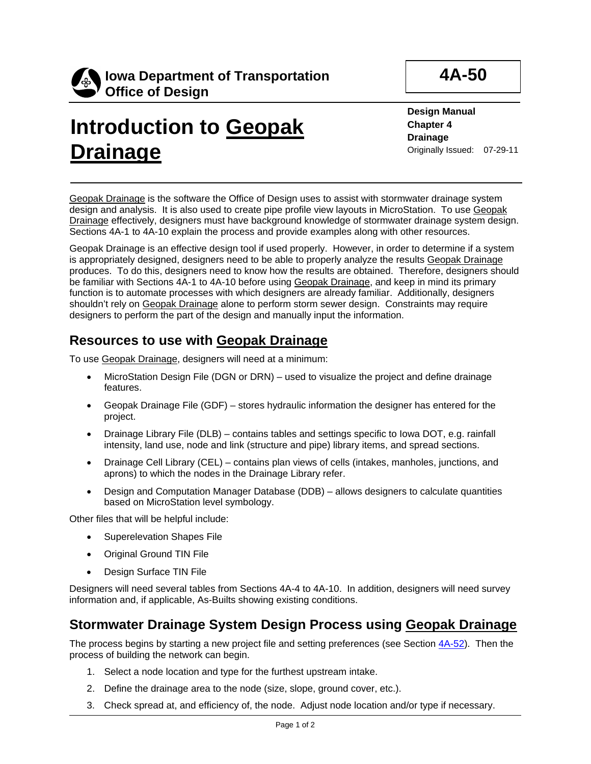

# **Introduction to Geopak Drainage**

**4A-50**

**Design Manual Chapter 4 Drainage** Originally Issued: 07-29-11

Geopak Drainage is the software the Office of Design uses to assist with stormwater drainage system design and analysis. It is also used to create pipe profile view layouts in MicroStation. To use Geopak Drainage effectively, designers must have background knowledge of stormwater drainage system design. Sections 4A-1 to 4A-10 explain the process and provide examples along with other resources.

Geopak Drainage is an effective design tool if used properly. However, in order to determine if a system is appropriately designed, designers need to be able to properly analyze the results Geopak Drainage produces. To do this, designers need to know how the results are obtained. Therefore, designers should be familiar with Sections 4A-1 to 4A-10 before using Geopak Drainage, and keep in mind its primary function is to automate processes with which designers are already familiar. Additionally, designers shouldn't rely on Geopak Drainage alone to perform storm sewer design. Constraints may require designers to perform the part of the design and manually input the information.

### **Resources to use with Geopak Drainage**

To use Geopak Drainage, designers will need at a minimum:

- MicroStation Design File (DGN or DRN) used to visualize the project and define drainage features.
- Geopak Drainage File (GDF) stores hydraulic information the designer has entered for the project.
- Drainage Library File (DLB) contains tables and settings specific to Iowa DOT, e.g. rainfall intensity, land use, node and link (structure and pipe) library items, and spread sections.
- Drainage Cell Library (CEL) contains plan views of cells (intakes, manholes, junctions, and aprons) to which the nodes in the Drainage Library refer.
- Design and Computation Manager Database (DDB) allows designers to calculate quantities based on MicroStation level symbology.

Other files that will be helpful include:

- Superelevation Shapes File
- Original Ground TIN File
- Design Surface TIN File

Designers will need several tables from Sections 4A-4 to 4A-10. In addition, designers will need survey information and, if applicable, As-Builts showing existing conditions.

### **Stormwater Drainage System Design Process using Geopak Drainage**

The process begins by starting a new project file and setting preferences (see Section 4A-52). Then the process of building the network can begin.

- 1. Select a node location and type for the furthest upstream intake.
- 2. Define the drainage area to the node (size, slope, ground cover, etc.).
- 3. Check spread at, and efficiency of, the node. Adjust node location and/or type if necessary.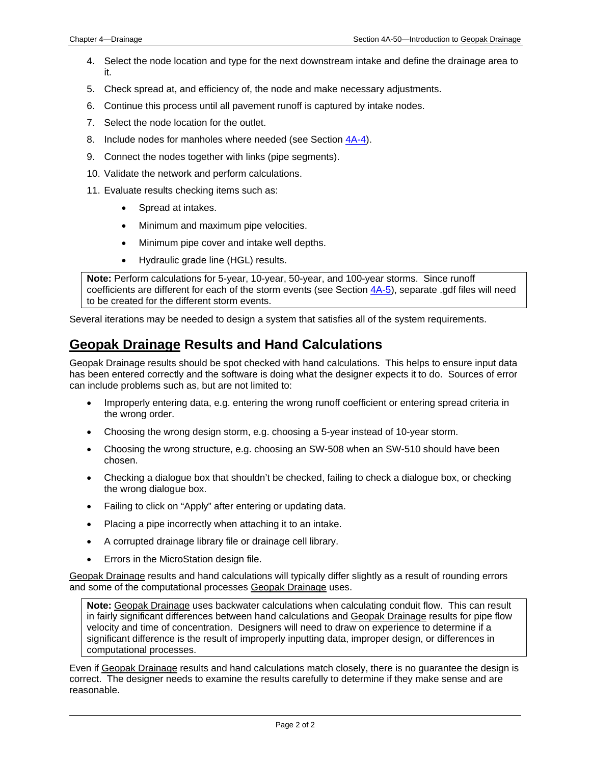- 4. Select the node location and type for the next downstream intake and define the drainage area to it.
- 5. Check spread at, and efficiency of, the node and make necessary adjustments.
- 6. Continue this process until all pavement runoff is captured by intake nodes.
- 7. Select the node location for the outlet.
- 8. Include nodes for manholes where needed (see Section 4A-4).
- 9. Connect the nodes together with links (pipe segments).
- 10. Validate the network and perform calculations.
- 11. Evaluate results checking items such as:
	- Spread at intakes.
	- Minimum and maximum pipe velocities.
	- Minimum pipe cover and intake well depths.
	- Hydraulic grade line (HGL) results.

**Note:** Perform calculations for 5-year, 10-year, 50-year, and 100-year storms. Since runoff coefficients are different for each of the storm events (see Section 4A-5), separate .gdf files will need to be created for the different storm events.

Several iterations may be needed to design a system that satisfies all of the system requirements.

#### **Geopak Drainage Results and Hand Calculations**

Geopak Drainage results should be spot checked with hand calculations. This helps to ensure input data has been entered correctly and the software is doing what the designer expects it to do. Sources of error can include problems such as, but are not limited to:

- Improperly entering data, e.g. entering the wrong runoff coefficient or entering spread criteria in the wrong order.
- Choosing the wrong design storm, e.g. choosing a 5-year instead of 10-year storm.
- Choosing the wrong structure, e.g. choosing an SW-508 when an SW-510 should have been chosen.
- Checking a dialogue box that shouldn't be checked, failing to check a dialogue box, or checking the wrong dialogue box.
- Failing to click on "Apply" after entering or updating data.
- Placing a pipe incorrectly when attaching it to an intake.
- A corrupted drainage library file or drainage cell library.
- Errors in the MicroStation design file.

Geopak Drainage results and hand calculations will typically differ slightly as a result of rounding errors and some of the computational processes Geopak Drainage uses.

**Note:** Geopak Drainage uses backwater calculations when calculating conduit flow. This can result in fairly significant differences between hand calculations and Geopak Drainage results for pipe flow velocity and time of concentration. Designers will need to draw on experience to determine if a significant difference is the result of improperly inputting data, improper design, or differences in computational processes.

Even if Geopak Drainage results and hand calculations match closely, there is no guarantee the design is correct. The designer needs to examine the results carefully to determine if they make sense and are reasonable.